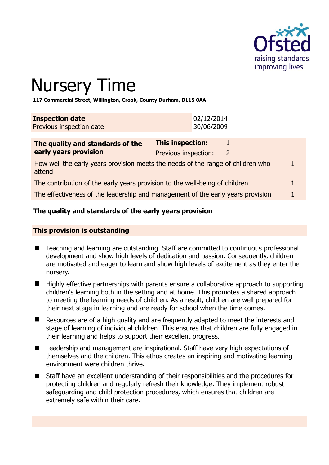

# Nursery Time

**117 Commercial Street, Willington, Crook, County Durham, DL15 0AA** 

| <b>Inspection date</b>   | 02/12/2014 |
|--------------------------|------------|
| Previous inspection date | 30/06/2009 |

| The quality and standards of the                                                          | <b>This inspection:</b> |                |  |
|-------------------------------------------------------------------------------------------|-------------------------|----------------|--|
| early years provision                                                                     | Previous inspection:    | $\overline{2}$ |  |
| How well the early years provision meets the needs of the range of children who<br>attend |                         |                |  |
| The contribution of the early years provision to the well-being of children               |                         |                |  |
| The effectiveness of the leadership and management of the early years provision           |                         |                |  |

# **The quality and standards of the early years provision**

#### **This provision is outstanding**

- Teaching and learning are outstanding. Staff are committed to continuous professional development and show high levels of dedication and passion. Consequently, children are motivated and eager to learn and show high levels of excitement as they enter the nursery.
- Highly effective partnerships with parents ensure a collaborative approach to supporting children's learning both in the setting and at home. This promotes a shared approach to meeting the learning needs of children. As a result, children are well prepared for their next stage in learning and are ready for school when the time comes.
- Resources are of a high quality and are frequently adapted to meet the interests and stage of learning of individual children. This ensures that children are fully engaged in their learning and helps to support their excellent progress.
- Leadership and management are inspirational. Staff have very high expectations of themselves and the children. This ethos creates an inspiring and motivating learning environment were children thrive.
- Staff have an excellent understanding of their responsibilities and the procedures for protecting children and regularly refresh their knowledge. They implement robust safeguarding and child protection procedures, which ensures that children are extremely safe within their care.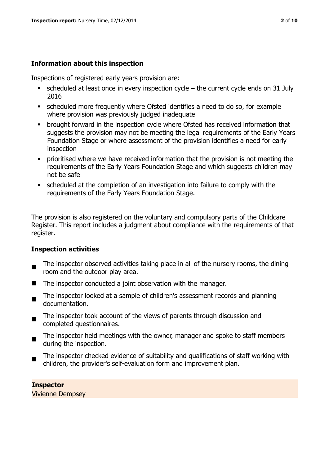# **Information about this inspection**

Inspections of registered early years provision are:

- $\bullet$  scheduled at least once in every inspection cycle the current cycle ends on 31 July 2016
- scheduled more frequently where Ofsted identifies a need to do so, for example where provision was previously judged inadequate
- **•** brought forward in the inspection cycle where Ofsted has received information that suggests the provision may not be meeting the legal requirements of the Early Years Foundation Stage or where assessment of the provision identifies a need for early inspection
- **•** prioritised where we have received information that the provision is not meeting the requirements of the Early Years Foundation Stage and which suggests children may not be safe
- scheduled at the completion of an investigation into failure to comply with the requirements of the Early Years Foundation Stage.

The provision is also registered on the voluntary and compulsory parts of the Childcare Register. This report includes a judgment about compliance with the requirements of that register.

# **Inspection activities**

- $\blacksquare$ The inspector observed activities taking place in all of the nursery rooms, the dining room and the outdoor play area.
- The inspector conducted a joint observation with the manager.
- $\blacksquare$ The inspector looked at a sample of children's assessment records and planning documentation.
- $\blacksquare$ The inspector took account of the views of parents through discussion and completed questionnaires.
- The inspector held meetings with the owner, manager and spoke to staff members during the inspection.
- The inspector checked evidence of suitability and qualifications of staff working with children, the provider's self-evaluation form and improvement plan.

**Inspector**  Vivienne Dempsey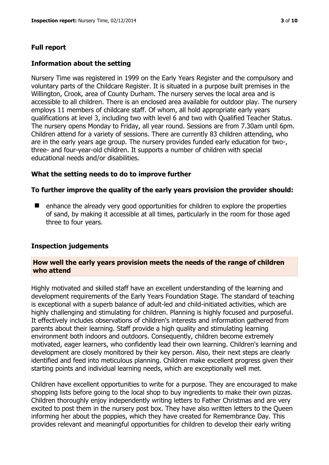# **Full report**

## **Information about the setting**

Nursery Time was registered in 1999 on the Early Years Register and the compulsory and voluntary parts of the Childcare Register. It is situated in a purpose built premises in the Willington, Crook, area of County Durham. The nursery serves the local area and is accessible to all children. There is an enclosed area available for outdoor play. The nursery employs 11 members of childcare staff. Of whom, all hold appropriate early years qualifications at level 3, including two with level 6 and two with Qualified Teacher Status. The nursery opens Monday to Friday, all year round. Sessions are from 7.30am until 6pm. Children attend for a variety of sessions. There are currently 83 children attending, who are in the early years age group. The nursery provides funded early education for two-, three- and four-year-old children. It supports a number of children with special educational needs and/or disabilities.

#### **What the setting needs to do to improve further**

#### **To further improve the quality of the early years provision the provider should:**

 $\blacksquare$  enhance the already very good opportunities for children to explore the properties of sand, by making it accessible at all times, particularly in the room for those aged three to four years.

#### **Inspection judgements**

#### **How well the early years provision meets the needs of the range of children who attend**

Highly motivated and skilled staff have an excellent understanding of the learning and development requirements of the Early Years Foundation Stage. The standard of teaching is exceptional with a superb balance of adult-led and child-initiated activities, which are highly challenging and stimulating for children. Planning is highly focused and purposeful. It effectively includes observations of children's interests and information gathered from parents about their learning. Staff provide a high quality and stimulating learning environment both indoors and outdoors. Consequently, children become extremely motivated, eager learners, who confidently lead their own learning. Children's learning and development are closely monitored by their key person. Also, their next steps are clearly identified and feed into meticulous planning. Children make excellent progress given their starting points and individual learning needs, which are exceptionally well met.

Children have excellent opportunities to write for a purpose. They are encouraged to make shopping lists before going to the local shop to buy ingredients to make their own pizzas. Children thoroughly enjoy independently writing letters to Father Christmas and are very excited to post them in the nursery post box. They have also written letters to the Queen informing her about the poppies, which they have created for Remembrance Day. This provides relevant and meaningful opportunities for children to develop their early writing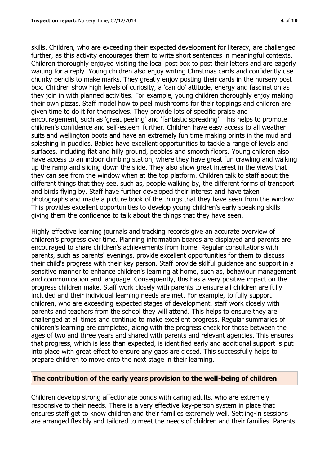skills. Children, who are exceeding their expected development for literacy, are challenged further, as this activity encourages them to write short sentences in meaningful contexts. Children thoroughly enjoyed visiting the local post box to post their letters and are eagerly waiting for a reply. Young children also enjoy writing Christmas cards and confidently use chunky pencils to make marks. They greatly enjoy posting their cards in the nursery post box. Children show high levels of curiosity, a 'can do' attitude, energy and fascination as they join in with planned activities. For example, young children thoroughly enjoy making their own pizzas. Staff model how to peel mushrooms for their toppings and children are given time to do it for themselves. They provide lots of specific praise and encouragement, such as 'great peeling' and 'fantastic spreading'. This helps to promote children's confidence and self-esteem further. Children have easy access to all weather suits and wellington boots and have an extremely fun time making prints in the mud and splashing in puddles. Babies have excellent opportunities to tackle a range of levels and surfaces, including flat and hilly ground, pebbles and smooth floors. Young children also have access to an indoor climbing station, where they have great fun crawling and walking up the ramp and sliding down the slide. They also show great interest in the views that they can see from the window when at the top platform. Children talk to staff about the different things that they see, such as, people walking by, the different forms of transport and birds flying by. Staff have further developed their interest and have taken photographs and made a picture book of the things that they have seen from the window. This provides excellent opportunities to develop young children's early speaking skills giving them the confidence to talk about the things that they have seen.

Highly effective learning journals and tracking records give an accurate overview of children's progress over time. Planning information boards are displayed and parents are encouraged to share children's achievements from home. Regular consultations with parents, such as parents' evenings, provide excellent opportunities for them to discuss their child's progress with their key person. Staff provide skilful guidance and support in a sensitive manner to enhance children's learning at home, such as, behaviour management and communication and language. Consequently, this has a very positive impact on the progress children make. Staff work closely with parents to ensure all children are fully included and their individual learning needs are met. For example, to fully support children, who are exceeding expected stages of development, staff work closely with parents and teachers from the school they will attend. This helps to ensure they are challenged at all times and continue to make excellent progress. Regular summaries of children's learning are completed, along with the progress check for those between the ages of two and three years and shared with parents and relevant agencies. This ensures that progress, which is less than expected, is identified early and additional support is put into place with great effect to ensure any gaps are closed. This successfully helps to prepare children to move onto the next stage in their learning.

#### **The contribution of the early years provision to the well-being of children**

Children develop strong affectionate bonds with caring adults, who are extremely responsive to their needs. There is a very effective key-person system in place that ensures staff get to know children and their families extremely well. Settling-in sessions are arranged flexibly and tailored to meet the needs of children and their families. Parents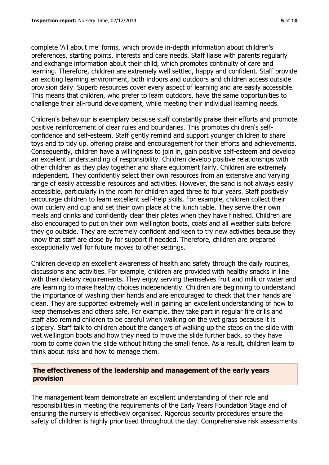complete 'All about me' forms, which provide in-depth information about children's preferences, starting points, interests and care needs. Staff liaise with parents regularly and exchange information about their child, which promotes continuity of care and learning. Therefore, children are extremely well settled, happy and confident. Staff provide an exciting learning environment, both indoors and outdoors and children access outside provision daily. Superb resources cover every aspect of learning and are easily accessible. This means that children, who prefer to learn outdoors, have the same opportunities to challenge their all-round development, while meeting their individual learning needs.

Children's behaviour is exemplary because staff constantly praise their efforts and promote positive reinforcement of clear rules and boundaries. This promotes children's selfconfidence and self-esteem. Staff gently remind and support younger children to share toys and to tidy up, offering praise and encouragement for their efforts and achievements. Consequently, children have a willingness to join in, gain positive self-esteem and develop an excellent understanding of responsibility. Children develop positive relationships with other children as they play together and share equipment fairly. Children are extremely independent. They confidently select their own resources from an extensive and varying range of easily accessible resources and activities. However, the sand is not always easily accessible, particularly in the room for children aged three to four years. Staff positively encourage children to learn excellent self-help skills. For example, children collect their own cutlery and cup and set their own place at the lunch table. They serve their own meals and drinks and confidently clear their plates when they have finished. Children are also encouraged to put on their own wellington boots, coats and all weather suits before they go outside. They are extremely confident and keen to try new activities because they know that staff are close by for support if needed. Therefore, children are prepared exceptionally well for future moves to other settings.

Children develop an excellent awareness of health and safety through the daily routines, discussions and activities. For example, children are provided with healthy snacks in line with their dietary requirements. They enjoy serving themselves fruit and milk or water and are learning to make healthy choices independently. Children are beginning to understand the importance of washing their hands and are encouraged to check that their hands are clean. They are supported extremely well in gaining an excellent understanding of how to keep themselves and others safe. For example, they take part in regular fire drills and staff also remind children to be careful when walking on the wet grass because it is slippery. Staff talk to children about the dangers of walking up the steps on the slide with wet wellington boots and how they need to move the slide further back, so they have room to come down the slide without hitting the small fence. As a result, children learn to think about risks and how to manage them.

# **The effectiveness of the leadership and management of the early years provision**

The management team demonstrate an excellent understanding of their role and responsibilities in meeting the requirements of the Early Years Foundation Stage and of ensuring the nursery is effectively organised. Rigorous security procedures ensure the safety of children is highly prioritised throughout the day. Comprehensive risk assessments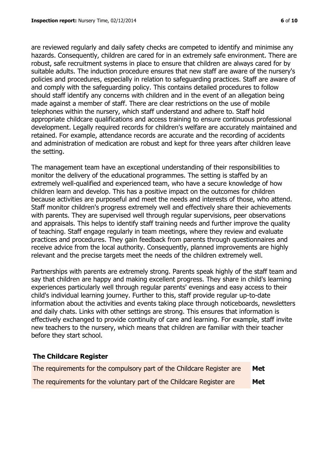are reviewed regularly and daily safety checks are competed to identify and minimise any hazards. Consequently, children are cared for in an extremely safe environment. There are robust, safe recruitment systems in place to ensure that children are always cared for by suitable adults. The induction procedure ensures that new staff are aware of the nursery's policies and procedures, especially in relation to safeguarding practices. Staff are aware of and comply with the safeguarding policy. This contains detailed procedures to follow should staff identify any concerns with children and in the event of an allegation being made against a member of staff. There are clear restrictions on the use of mobile telephones within the nursery, which staff understand and adhere to. Staff hold appropriate childcare qualifications and access training to ensure continuous professional development. Legally required records for children's welfare are accurately maintained and retained. For example, attendance records are accurate and the recording of accidents and administration of medication are robust and kept for three years after children leave the setting.

The management team have an exceptional understanding of their responsibilities to monitor the delivery of the educational programmes. The setting is staffed by an extremely well-qualified and experienced team, who have a secure knowledge of how children learn and develop. This has a positive impact on the outcomes for children because activities are purposeful and meet the needs and interests of those, who attend. Staff monitor children's progress extremely well and effectively share their achievements with parents. They are supervised well through regular supervisions, peer observations and appraisals. This helps to identify staff training needs and further improve the quality of teaching. Staff engage regularly in team meetings, where they review and evaluate practices and procedures. They gain feedback from parents through questionnaires and receive advice from the local authority. Consequently, planned improvements are highly relevant and the precise targets meet the needs of the children extremely well.

Partnerships with parents are extremely strong. Parents speak highly of the staff team and say that children are happy and making excellent progress. They share in child's learning experiences particularly well through regular parents' evenings and easy access to their child's individual learning journey. Further to this, staff provide regular up-to-date information about the activities and events taking place through noticeboards, newsletters and daily chats. Links with other settings are strong. This ensures that information is effectively exchanged to provide continuity of care and learning. For example, staff invite new teachers to the nursery, which means that children are familiar with their teacher before they start school.

#### **The Childcare Register**

| The requirements for the compulsory part of the Childcare Register are | Met        |
|------------------------------------------------------------------------|------------|
| The requirements for the voluntary part of the Childcare Register are  | <b>Met</b> |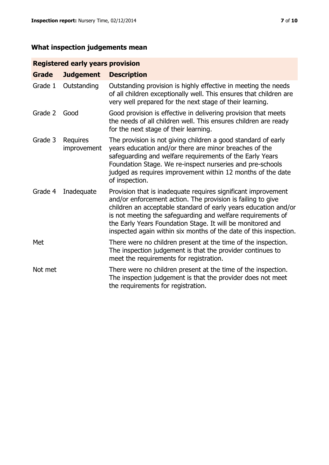# **What inspection judgements mean**

# **Registered early years provision**

| Grade   | <b>Judgement</b>               | <b>Description</b>                                                                                                                                                                                                                                                                                                                                                                                |
|---------|--------------------------------|---------------------------------------------------------------------------------------------------------------------------------------------------------------------------------------------------------------------------------------------------------------------------------------------------------------------------------------------------------------------------------------------------|
| Grade 1 | Outstanding                    | Outstanding provision is highly effective in meeting the needs<br>of all children exceptionally well. This ensures that children are<br>very well prepared for the next stage of their learning.                                                                                                                                                                                                  |
| Grade 2 | Good                           | Good provision is effective in delivering provision that meets<br>the needs of all children well. This ensures children are ready<br>for the next stage of their learning.                                                                                                                                                                                                                        |
| Grade 3 | <b>Requires</b><br>improvement | The provision is not giving children a good standard of early<br>years education and/or there are minor breaches of the<br>safeguarding and welfare requirements of the Early Years<br>Foundation Stage. We re-inspect nurseries and pre-schools<br>judged as requires improvement within 12 months of the date<br>of inspection.                                                                 |
| Grade 4 | Inadequate                     | Provision that is inadequate requires significant improvement<br>and/or enforcement action. The provision is failing to give<br>children an acceptable standard of early years education and/or<br>is not meeting the safeguarding and welfare requirements of<br>the Early Years Foundation Stage. It will be monitored and<br>inspected again within six months of the date of this inspection. |
| Met     |                                | There were no children present at the time of the inspection.<br>The inspection judgement is that the provider continues to<br>meet the requirements for registration.                                                                                                                                                                                                                            |
| Not met |                                | There were no children present at the time of the inspection.<br>The inspection judgement is that the provider does not meet<br>the requirements for registration.                                                                                                                                                                                                                                |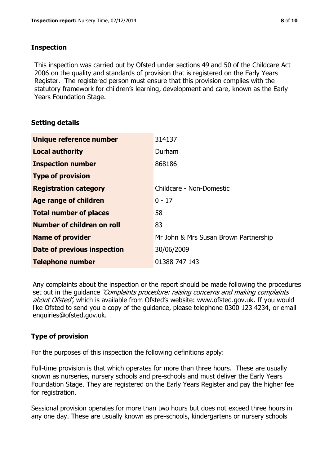## **Inspection**

This inspection was carried out by Ofsted under sections 49 and 50 of the Childcare Act 2006 on the quality and standards of provision that is registered on the Early Years Register. The registered person must ensure that this provision complies with the statutory framework for children's learning, development and care, known as the Early Years Foundation Stage.

# **Setting details**

| Unique reference number            | 314137                                |
|------------------------------------|---------------------------------------|
| <b>Local authority</b>             | Durham                                |
| <b>Inspection number</b>           | 868186                                |
| <b>Type of provision</b>           |                                       |
| <b>Registration category</b>       | Childcare - Non-Domestic              |
| Age range of children              | $0 - 17$                              |
| <b>Total number of places</b>      | 58                                    |
| <b>Number of children on roll</b>  | 83                                    |
| <b>Name of provider</b>            | Mr John & Mrs Susan Brown Partnership |
| <b>Date of previous inspection</b> | 30/06/2009                            |
| <b>Telephone number</b>            | 01388 747 143                         |

Any complaints about the inspection or the report should be made following the procedures set out in the guidance *'Complaints procedure: raising concerns and making complaints* about Ofsted', which is available from Ofsted's website: www.ofsted.gov.uk. If you would like Ofsted to send you a copy of the guidance, please telephone 0300 123 4234, or email enquiries@ofsted.gov.uk.

# **Type of provision**

For the purposes of this inspection the following definitions apply:

Full-time provision is that which operates for more than three hours. These are usually known as nurseries, nursery schools and pre-schools and must deliver the Early Years Foundation Stage. They are registered on the Early Years Register and pay the higher fee for registration.

Sessional provision operates for more than two hours but does not exceed three hours in any one day. These are usually known as pre-schools, kindergartens or nursery schools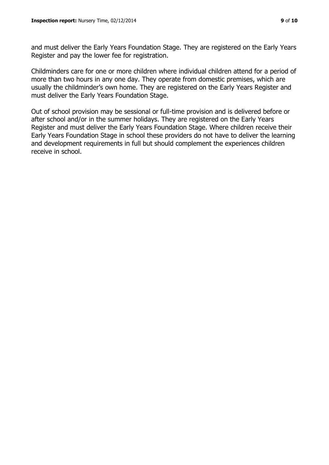and must deliver the Early Years Foundation Stage. They are registered on the Early Years Register and pay the lower fee for registration.

Childminders care for one or more children where individual children attend for a period of more than two hours in any one day. They operate from domestic premises, which are usually the childminder's own home. They are registered on the Early Years Register and must deliver the Early Years Foundation Stage.

Out of school provision may be sessional or full-time provision and is delivered before or after school and/or in the summer holidays. They are registered on the Early Years Register and must deliver the Early Years Foundation Stage. Where children receive their Early Years Foundation Stage in school these providers do not have to deliver the learning and development requirements in full but should complement the experiences children receive in school.